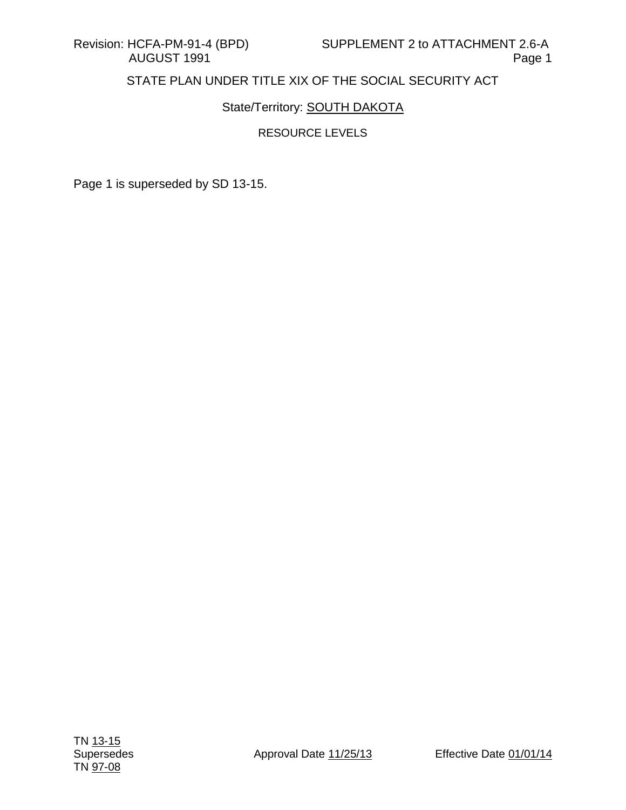## State/Territory: **SOUTH DAKOTA**

### RESOURCE LEVELS

Page 1 is superseded by SD 13-15.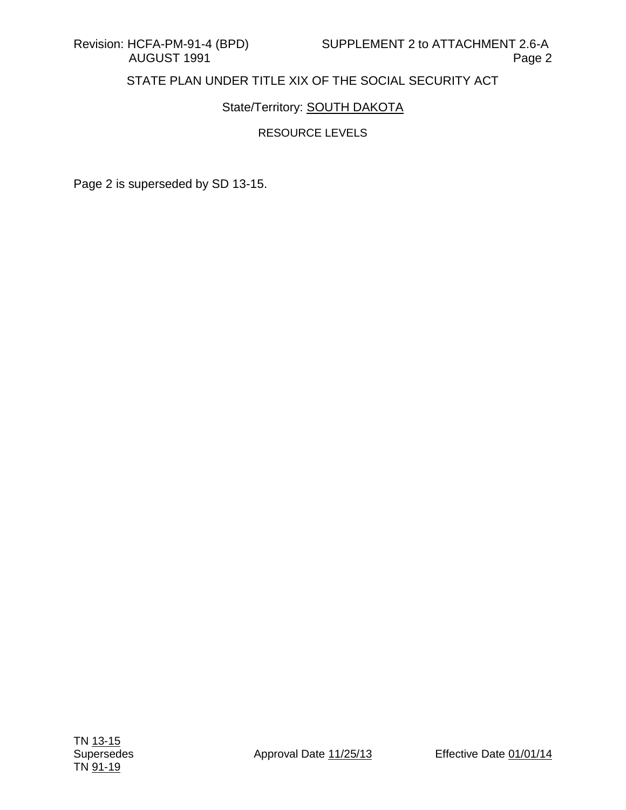## State/Territory: **SOUTH DAKOTA**

## RESOURCE LEVELS

Page 2 is superseded by SD 13-15.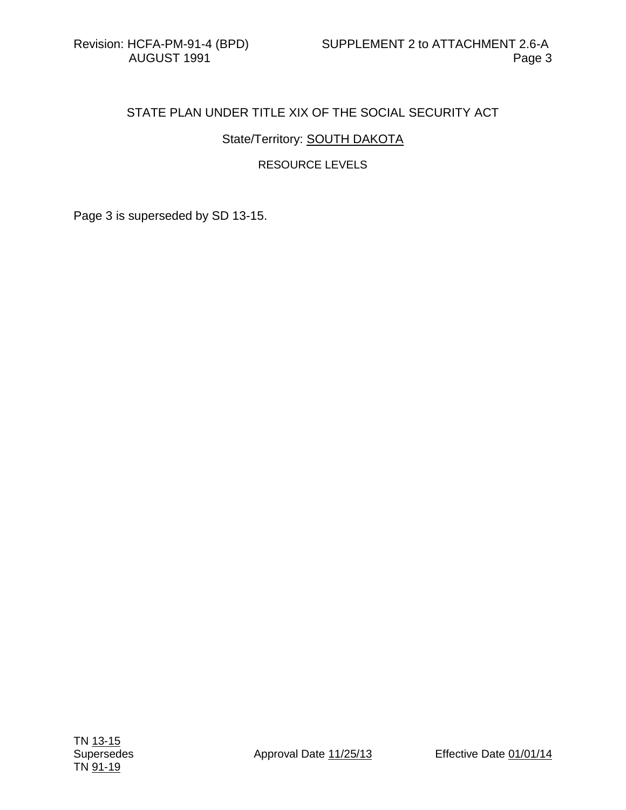## State/Territory: **SOUTH DAKOTA**

### RESOURCE LEVELS

Page 3 is superseded by SD 13-15.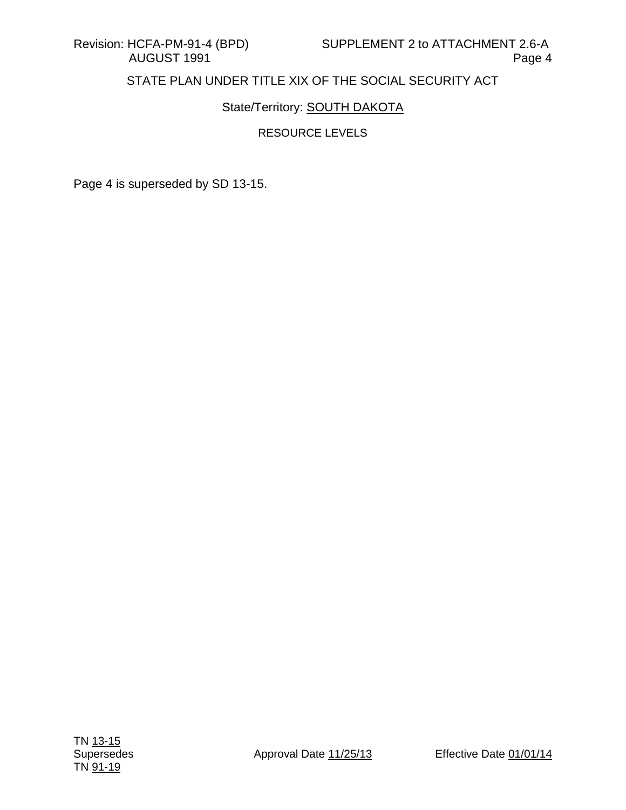## State/Territory: **SOUTH DAKOTA**

### RESOURCE LEVELS

Page 4 is superseded by SD 13-15.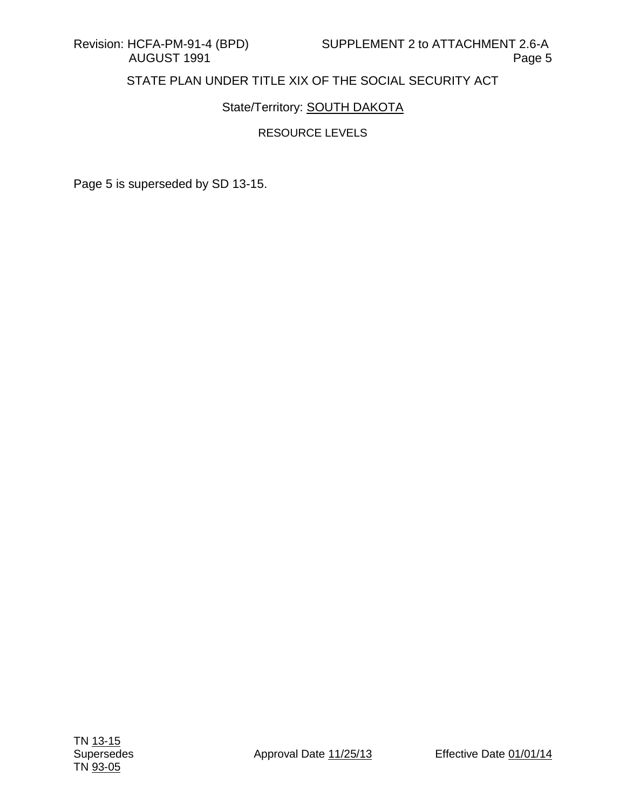## State/Territory: **SOUTH DAKOTA**

## RESOURCE LEVELS

Page 5 is superseded by SD 13-15.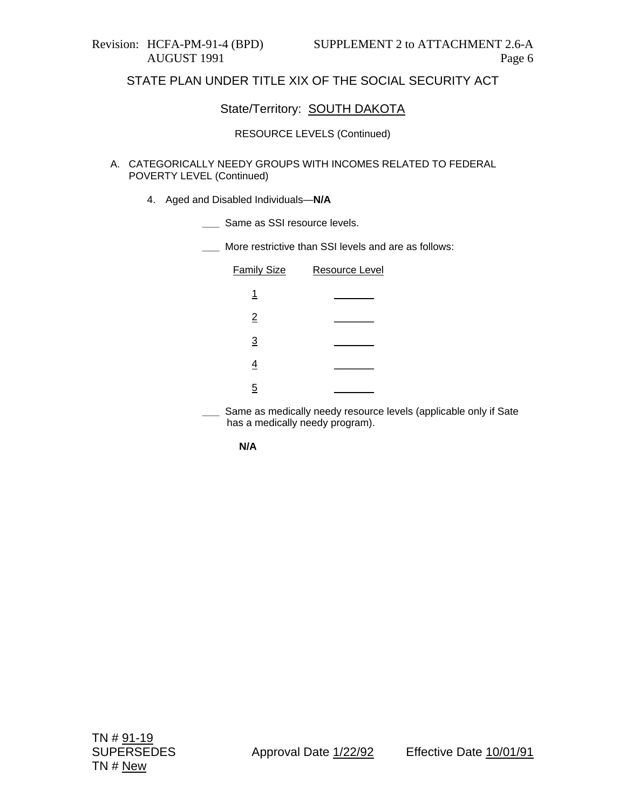### State/Territory: SOUTH DAKOTA

#### RESOURCE LEVELS (Continued)

#### A. CATEGORICALLY NEEDY GROUPS WITH INCOMES RELATED TO FEDERAL POVERTY LEVEL (Continued)

- 4. Aged and Disabled Individuals—**N/A**
	- **\_\_\_** Same as SSI resource levels.
	- **\_\_\_** More restrictive than SSI levels and are as follows:

| <b>Family Size</b> | Resource Level |
|--------------------|----------------|
| 1                  |                |
| $\overline{2}$     |                |
| $\overline{3}$     |                |
| 4                  |                |
| 5                  |                |

Same as medically needy resource levels (applicable only if Sate has a medically needy program).

|--|